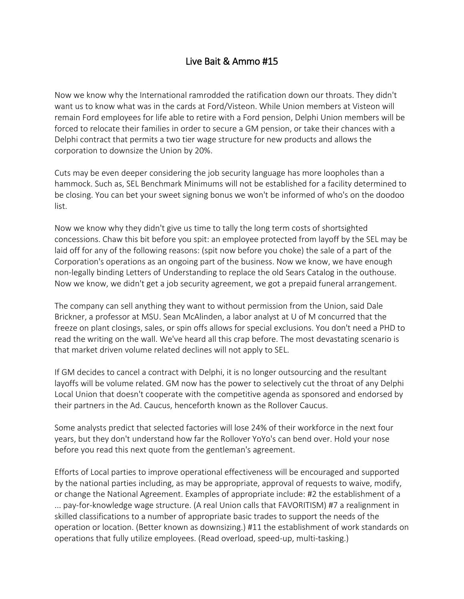## Live Bait & Ammo #15

Now we know why the International ramrodded the ratification down our throats. They didn't want us to know what was in the cards at Ford/Visteon. While Union members at Visteon will remain Ford employees for life able to retire with a Ford pension, Delphi Union members will be forced to relocate their families in order to secure a GM pension, or take their chances with a Delphi contract that permits a two tier wage structure for new products and allows the corporation to downsize the Union by 20%.

Cuts may be even deeper considering the job security language has more loopholes than a hammock. Such as, SEL Benchmark Minimums will not be established for a facility determined to be closing. You can bet your sweet signing bonus we won't be informed of who's on the doodoo list.

Now we know why they didn't give us time to tally the long term costs of shortsighted concessions. Chaw this bit before you spit: an employee protected from layoff by the SEL may be laid off for any of the following reasons: (spit now before you choke) the sale of a part of the Corporation's operations as an ongoing part of the business. Now we know, we have enough non-legally binding Letters of Understanding to replace the old Sears Catalog in the outhouse. Now we know, we didn't get a job security agreement, we got a prepaid funeral arrangement.

The company can sell anything they want to without permission from the Union, said Dale Brickner, a professor at MSU. Sean McAlinden, a labor analyst at U of M concurred that the freeze on plant closings, sales, or spin offs allows for special exclusions. You don't need a PHD to read the writing on the wall. We've heard all this crap before. The most devastating scenario is that market driven volume related declines will not apply to SEL.

If GM decides to cancel a contract with Delphi, it is no longer outsourcing and the resultant layoffs will be volume related. GM now has the power to selectively cut the throat of any Delphi Local Union that doesn't cooperate with the competitive agenda as sponsored and endorsed by their partners in the Ad. Caucus, henceforth known as the Rollover Caucus.

Some analysts predict that selected factories will lose 24% of their workforce in the next four years, but they don't understand how far the Rollover YoYo's can bend over. Hold your nose before you read this next quote from the gentleman's agreement.

Efforts of Local parties to improve operational effectiveness will be encouraged and supported by the national parties including, as may be appropriate, approval of requests to waive, modify, or change the National Agreement. Examples of appropriate include: #2 the establishment of a ... pay-for-knowledge wage structure. (A real Union calls that FAVORITISM) #7 a realignment in skilled classifications to a number of appropriate basic trades to support the needs of the operation or location. (Better known as downsizing.) #11 the establishment of work standards on operations that fully utilize employees. (Read overload, speed-up, multi-tasking.)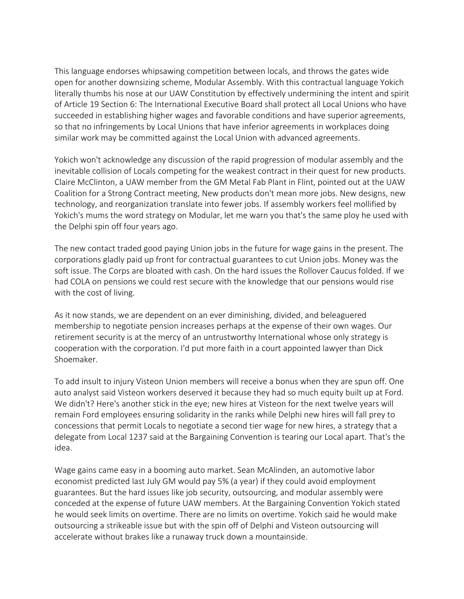This language endorses whipsawing competition between locals, and throws the gates wide open for another downsizing scheme, Modular Assembly. With this contractual language Yokich literally thumbs his nose at our UAW Constitution by effectively undermining the intent and spirit of Article 19 Section 6: The International Executive Board shall protect all Local Unions who have succeeded in establishing higher wages and favorable conditions and have superior agreements, so that no infringements by Local Unions that have inferior agreements in workplaces doing similar work may be committed against the Local Union with advanced agreements.

Yokich won't acknowledge any discussion of the rapid progression of modular assembly and the inevitable collision of Locals competing for the weakest contract in their quest for new products. Claire McClinton, a UAW member from the GM Metal Fab Plant in Flint, pointed out at the UAW Coalition for a Strong Contract meeting, New products don't mean more jobs. New designs, new technology, and reorganization translate into fewer jobs. If assembly workers feel mollified by Yokich's mums the word strategy on Modular, let me warn you that's the same ploy he used with the Delphi spin off four years ago.

The new contact traded good paying Union jobs in the future for wage gains in the present. The corporations gladly paid up front for contractual guarantees to cut Union jobs. Money was the soft issue. The Corps are bloated with cash. On the hard issues the Rollover Caucus folded. If we had COLA on pensions we could rest secure with the knowledge that our pensions would rise with the cost of living.

As it now stands, we are dependent on an ever diminishing, divided, and beleaguered membership to negotiate pension increases perhaps at the expense of their own wages. Our retirement security is at the mercy of an untrustworthy International whose only strategy is cooperation with the corporation. I'd put more faith in a court appointed lawyer than Dick Shoemaker.

To add insult to injury Visteon Union members will receive a bonus when they are spun off. One auto analyst said Visteon workers deserved it because they had so much equity built up at Ford. We didn't? Here's another stick in the eye; new hires at Visteon for the next twelve years will remain Ford employees ensuring solidarity in the ranks while Delphi new hires will fall prey to concessions that permit Locals to negotiate a second tier wage for new hires, a strategy that a delegate from Local 1237 said at the Bargaining Convention is tearing our Local apart. That's the idea.

Wage gains came easy in a booming auto market. Sean McAlinden, an automotive labor economist predicted last July GM would pay 5% (a year) if they could avoid employment guarantees. But the hard issues like job security, outsourcing, and modular assembly were conceded at the expense of future UAW members. At the Bargaining Convention Yokich stated he would seek limits on overtime. There are no limits on overtime. Yokich said he would make outsourcing a strikeable issue but with the spin off of Delphi and Visteon outsourcing will accelerate without brakes like a runaway truck down a mountainside.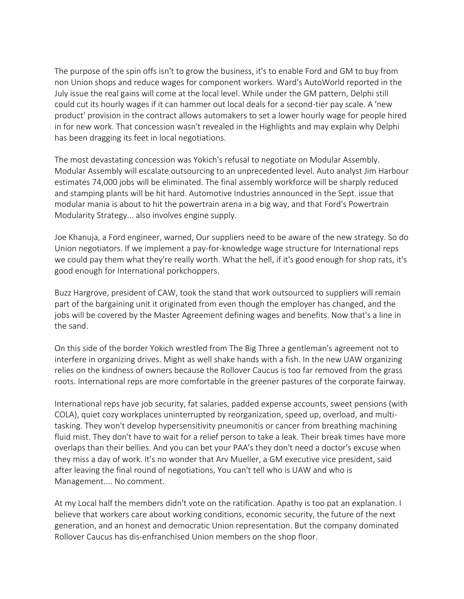The purpose of the spin offs isn't to grow the business, it's to enable Ford and GM to buy from non Union shops and reduce wages for component workers. Ward's AutoWorld reported in the July issue the real gains will come at the local level. While under the GM pattern, Delphi still could cut its hourly wages if it can hammer out local deals for a second-tier pay scale. A 'new product' provision in the contract allows automakers to set a lower hourly wage for people hired in for new work. That concession wasn't revealed in the Highlights and may explain why Delphi has been dragging its feet in local negotiations.

The most devastating concession was Yokich's refusal to negotiate on Modular Assembly. Modular Assembly will escalate outsourcing to an unprecedented level. Auto analyst Jim Harbour estimates 74,000 jobs will be eliminated. The final assembly workforce will be sharply reduced and stamping plants will be hit hard. Automotive Industries announced in the Sept. issue that modular mania is about to hit the powertrain arena in a big way, and that Ford's Powertrain Modularity Strategy... also involves engine supply.

Joe Khanuja, a Ford engineer, warned, Our suppliers need to be aware of the new strategy. So do Union negotiators. If we implement a pay-for-knowledge wage structure for International reps we could pay them what they're really worth. What the hell, if it's good enough for shop rats, it's good enough for International porkchoppers.

Buzz Hargrove, president of CAW, took the stand that work outsourced to suppliers will remain part of the bargaining unit it originated from even though the employer has changed, and the jobs will be covered by the Master Agreement defining wages and benefits. Now that's a line in the sand.

On this side of the border Yokich wrestled from The Big Three a gentleman's agreement not to interfere in organizing drives. Might as well shake hands with a fish. In the new UAW organizing relies on the kindness of owners because the Rollover Caucus is too far removed from the grass roots. International reps are more comfortable in the greener pastures of the corporate fairway.

International reps have job security, fat salaries, padded expense accounts, sweet pensions (with COLA), quiet cozy workplaces uninterrupted by reorganization, speed up, overload, and multitasking. They won't develop hypersensitivity pneumonitis or cancer from breathing machining fluid mist. They don't have to wait for a relief person to take a leak. Their break times have more overlaps than their bellies. And you can bet your PAA's they don't need a doctor's excuse when they miss a day of work. It's no wonder that Arv Mueller, a GM executive vice president, said after leaving the final round of negotiations, You can't tell who is UAW and who is Management.... No comment.

At my Local half the members didn't vote on the ratification. Apathy is too pat an explanation. I believe that workers care about working conditions, economic security, the future of the next generation, and an honest and democratic Union representation. But the company dominated Rollover Caucus has dis-enfranchised Union members on the shop floor.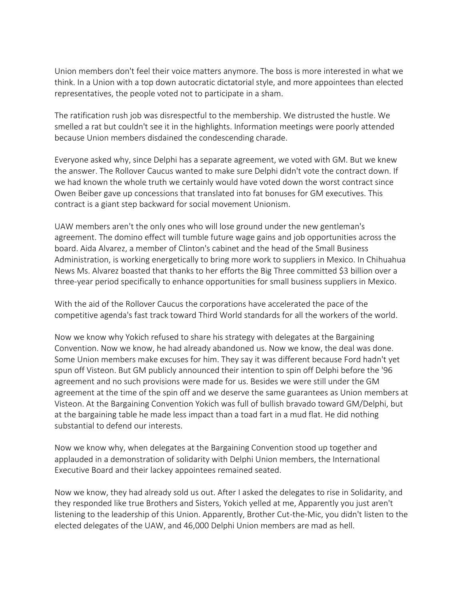Union members don't feel their voice matters anymore. The boss is more interested in what we think. In a Union with a top down autocratic dictatorial style, and more appointees than elected representatives, the people voted not to participate in a sham.

The ratification rush job was disrespectful to the membership. We distrusted the hustle. We smelled a rat but couldn't see it in the highlights. Information meetings were poorly attended because Union members disdained the condescending charade.

Everyone asked why, since Delphi has a separate agreement, we voted with GM. But we knew the answer. The Rollover Caucus wanted to make sure Delphi didn't vote the contract down. If we had known the whole truth we certainly would have voted down the worst contract since Owen Beiber gave up concessions that translated into fat bonuses for GM executives. This contract is a giant step backward for social movement Unionism.

UAW members aren't the only ones who will lose ground under the new gentleman's agreement. The domino effect will tumble future wage gains and job opportunities across the board. Aida Alvarez, a member of Clinton's cabinet and the head of the Small Business Administration, is working energetically to bring more work to suppliers in Mexico. In Chihuahua News Ms. Alvarez boasted that thanks to her efforts the Big Three committed \$3 billion over a three-year period specifically to enhance opportunities for small business suppliers in Mexico.

With the aid of the Rollover Caucus the corporations have accelerated the pace of the competitive agenda's fast track toward Third World standards for all the workers of the world.

Now we know why Yokich refused to share his strategy with delegates at the Bargaining Convention. Now we know, he had already abandoned us. Now we know, the deal was done. Some Union members make excuses for him. They say it was different because Ford hadn't yet spun off Visteon. But GM publicly announced their intention to spin off Delphi before the '96 agreement and no such provisions were made for us. Besides we were still under the GM agreement at the time of the spin off and we deserve the same guarantees as Union members at Visteon. At the Bargaining Convention Yokich was full of bullish bravado toward GM/Delphi, but at the bargaining table he made less impact than a toad fart in a mud flat. He did nothing substantial to defend our interests.

Now we know why, when delegates at the Bargaining Convention stood up together and applauded in a demonstration of solidarity with Delphi Union members, the International Executive Board and their lackey appointees remained seated.

Now we know, they had already sold us out. After I asked the delegates to rise in Solidarity, and they responded like true Brothers and Sisters, Yokich yelled at me, Apparently you just aren't listening to the leadership of this Union. Apparently, Brother Cut-the-Mic, you didn't listen to the elected delegates of the UAW, and 46,000 Delphi Union members are mad as hell.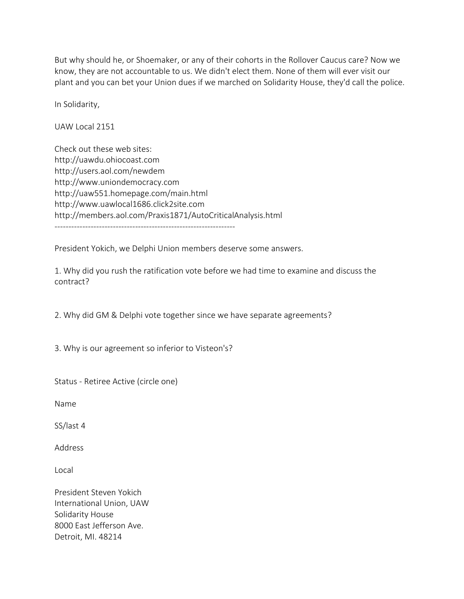But why should he, or Shoemaker, or any of their cohorts in the Rollover Caucus care? Now we know, they are not accountable to us. We didn't elect them. None of them will ever visit our plant and you can bet your Union dues if we marched on Solidarity House, they'd call the police.

In Solidarity,

UAW Local 2151

Check out these web sites: http://uawdu.ohiocoast.com http://users.aol.com/newdem http://www.uniondemocracy.com http://uaw551.homepage.com/main.html http://www.uawlocal1686.click2site.com http://members.aol.com/Praxis1871/AutoCriticalAnalysis.html -----------------------------------------------------------------

President Yokich, we Delphi Union members deserve some answers.

1. Why did you rush the ratification vote before we had time to examine and discuss the contract?

2. Why did GM & Delphi vote together since we have separate agreements?

3. Why is our agreement so inferior to Visteon's?

Status - Retiree Active (circle one)

Name

SS/last 4

Address

Local

President Steven Yokich International Union, UAW Solidarity House 8000 East Jefferson Ave. Detroit, MI. 48214